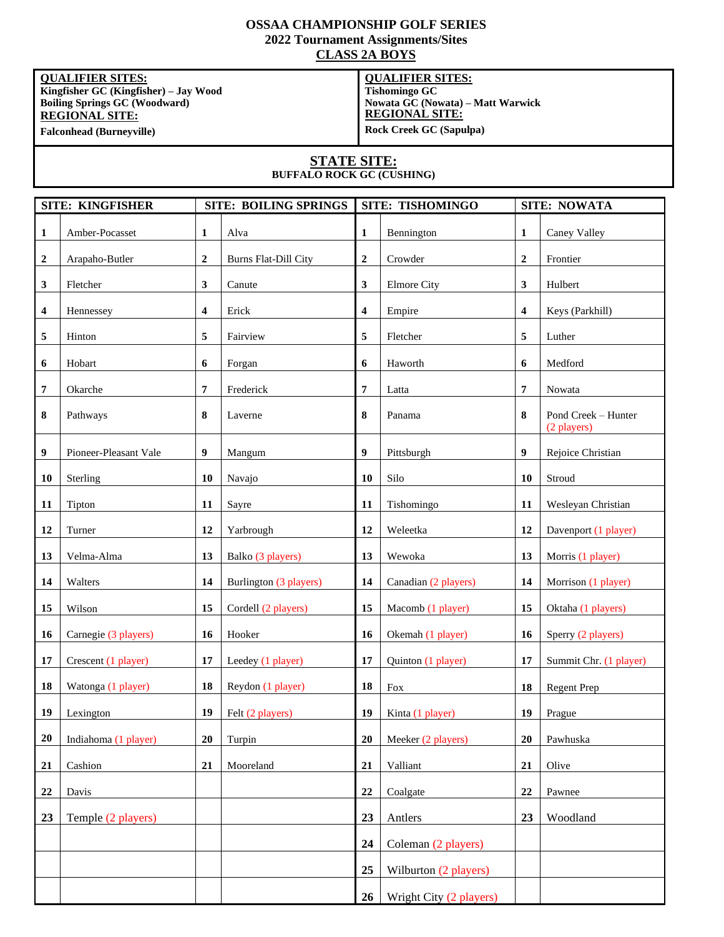### **OSSAA CHAMPIONSHIP GOLF SERIES 2022 Tournament Assignments/Sites CLASS 2A BOYS**

**QUALIFIER SITES: Kingfisher GC (Kingfisher) – Jay Wood Boiling Springs GC (Woodward) REGIONAL SITE: Falconhead (Burneyville)**

#### **QUALIFIER SITES:**

**Tishomingo GC Nowata GC (Nowata) – Matt Warwick REGIONAL SITE: Rock Creek GC (Sapulpa)**

### **STATE SITE:**

**BUFFALO ROCK GC (CUSHING)**

| SITE: KINGFISHER |                       |             | <b>SITE: BOILING SPRINGS</b> |                  | SITE: TISHOMINGO        |                  | <b>SITE: NOWATA</b>                |  |
|------------------|-----------------------|-------------|------------------------------|------------------|-------------------------|------------------|------------------------------------|--|
| 1                | Amber-Pocasset        | 1           | Alva                         | 1                | Bennington              | 1                | Caney Valley                       |  |
| $\boldsymbol{2}$ | Arapaho-Butler        | $\mathbf 2$ | <b>Burns Flat-Dill City</b>  | $\boldsymbol{2}$ | Crowder                 | $\boldsymbol{2}$ | Frontier                           |  |
| 3                | Fletcher              | 3           | Canute                       | 3                | <b>Elmore City</b>      | 3                | Hulbert                            |  |
| 4                | Hennessey             | 4           | Erick                        | 4                | Empire                  | 4                | Keys (Parkhill)                    |  |
| 5                | Hinton                | 5           | Fairview                     | 5                | Fletcher                | 5                | Luther                             |  |
| 6                | Hobart                | 6           | Forgan                       | 6                | Haworth                 | 6                | Medford                            |  |
| 7                | Okarche               | 7           | Frederick                    | 7                | Latta                   | 7                | Nowata                             |  |
| 8                | Pathways              | 8           | Laverne                      | 8                | Panama                  | 8                | Pond Creek - Hunter<br>(2 players) |  |
| $\boldsymbol{9}$ | Pioneer-Pleasant Vale | 9           | Mangum                       | 9                | Pittsburgh              | 9                | Rejoice Christian                  |  |
| 10               | Sterling              | 10          | Navajo                       | 10               | Silo                    | 10               | Stroud                             |  |
| 11               | Tipton                | 11          | Sayre                        | 11               | Tishomingo              | 11               | Wesleyan Christian                 |  |
| 12               | Turner                | 12          | Yarbrough                    | 12               | Weleetka                | 12               | Davenport (1 player)               |  |
| 13               | Velma-Alma            | 13          | Balko (3 players)            | 13               | Wewoka                  | 13               | Morris (1 player)                  |  |
| 14               | Walters               | 14          | Burlington (3 players)       | 14               | Canadian (2 players)    | 14               | Morrison (1 player)                |  |
| 15               | Wilson                | 15          | Cordell (2 players)          | 15               | Macomb (1 player)       | 15               | Oktaha (1 players)                 |  |
| 16               | Carnegie (3 players)  | 16          | Hooker                       | 16               | Okemah (1 player)       | 16               | Sperry (2 players)                 |  |
| 17               | Crescent (1 player)   | 17          | Leedey (1 player)            | 17               | Quinton (1 player)      | 17               | Summit Chr. (1 player)             |  |
| 18               | Watonga (1 player)    | 18          | Reydon (1 player)            | 18               | Fox                     | 18               | <b>Regent Prep</b>                 |  |
| 19               | Lexington             | 19          | Felt (2 players)             | 19               | Kinta (1 player)        | 19               | Prague                             |  |
| 20               | Indiahoma (1 player)  | 20          | Turpin                       | 20               | Meeker (2 players)      | 20               | Pawhuska                           |  |
| 21               | Cashion               | 21          | Mooreland                    | 21               | Valliant                | 21               | Olive                              |  |
| 22               | Davis                 |             |                              | 22               | Coalgate                | 22               | Pawnee                             |  |
| 23               | Temple (2 players)    |             |                              | 23               | Antlers                 | 23               | Woodland                           |  |
|                  |                       |             |                              | 24               | Coleman (2 players)     |                  |                                    |  |
|                  |                       |             |                              | 25               | Wilburton (2 players)   |                  |                                    |  |
|                  |                       |             |                              | 26               | Wright City (2 players) |                  |                                    |  |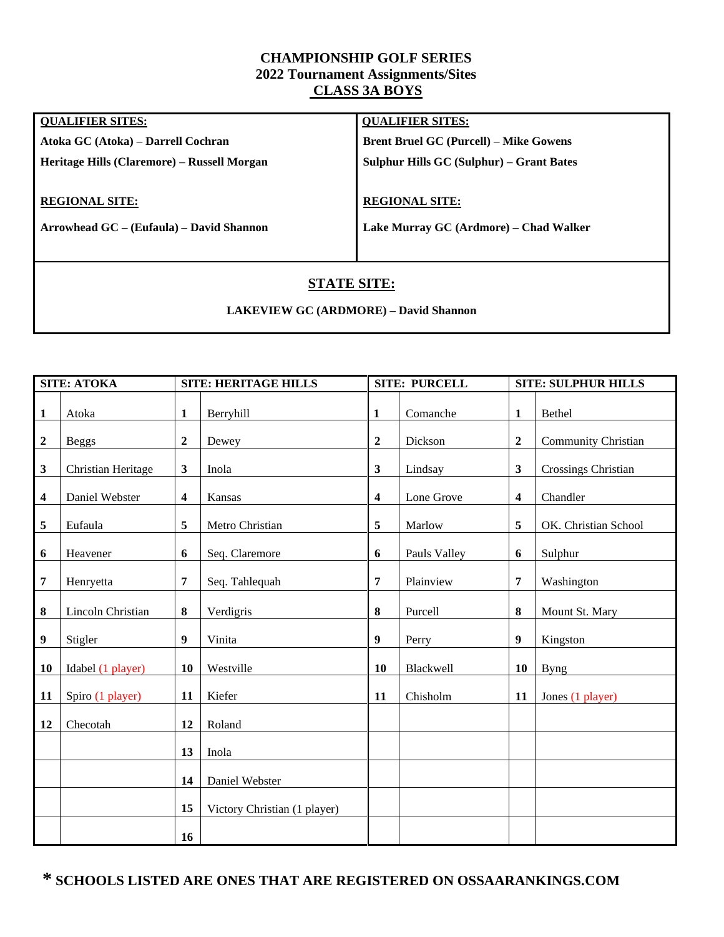### **CHAMPIONSHIP GOLF SERIES 2022 Tournament Assignments/Sites CLASS 3A BOYS**

| <b>QUALIFIER SITES:</b>                     | <b>QUALIFIER SITES:</b>                       |
|---------------------------------------------|-----------------------------------------------|
| Atoka GC (Atoka) – Darrell Cochran          | <b>Brent Bruel GC (Purcell) - Mike Gowens</b> |
| Heritage Hills (Claremore) – Russell Morgan | Sulphur Hills GC (Sulphur) – Grant Bates      |
|                                             |                                               |
| <b>REGIONAL SITE:</b>                       | <b>REGIONAL SITE:</b>                         |
| Arrowhead GC – (Eufaula) – David Shannon    | Lake Murray GC (Ardmore) – Chad Walker        |
|                                             |                                               |
|                                             |                                               |

## **STATE SITE:**

### **LAKEVIEW GC (ARDMORE) – David Shannon**

| <b>SITE: ATOKA</b> |                    | <b>SITE: HERITAGE HILLS</b> |                              |                         | <b>SITE: PURCELL</b> |                  | <b>SITE: SULPHUR HILLS</b> |  |
|--------------------|--------------------|-----------------------------|------------------------------|-------------------------|----------------------|------------------|----------------------------|--|
| $\mathbf{1}$       | Atoka              | $\mathbf{1}$                | Berryhill                    | $\mathbf{1}$            | Comanche             | $\mathbf{1}$     | Bethel                     |  |
| $\boldsymbol{2}$   | <b>Beggs</b>       | $\boldsymbol{2}$            | Dewey                        | $\mathbf 2$             | Dickson              | $\overline{2}$   | <b>Community Christian</b> |  |
| 3                  | Christian Heritage | 3                           | Inola                        | $\mathbf{3}$            | Lindsay              | 3                | Crossings Christian        |  |
| 4                  | Daniel Webster     | $\overline{\mathbf{4}}$     | Kansas                       | $\overline{\mathbf{4}}$ | Lone Grove           | 4                | Chandler                   |  |
| 5                  | Eufaula            | 5                           | Metro Christian              | 5                       | Marlow               | 5                | OK. Christian School       |  |
| 6                  | Heavener           | 6                           | Seq. Claremore               | 6                       | Pauls Valley         | 6                | Sulphur                    |  |
| 7                  | Henryetta          | 7                           | Seq. Tahlequah               | 7                       | Plainview            | $\overline{7}$   | Washington                 |  |
| 8                  | Lincoln Christian  | 8                           | Verdigris                    | $\bf{8}$                | Purcell              | 8                | Mount St. Mary             |  |
| 9                  | Stigler            | 9                           | Vinita                       | $\boldsymbol{9}$        | Perry                | $\boldsymbol{9}$ | Kingston                   |  |
| 10                 | Idabel (1 player)  | 10                          | Westville                    | 10                      | Blackwell            | 10               | <b>Byng</b>                |  |
| 11                 | Spiro (1 player)   | 11                          | Kiefer                       | 11                      | Chisholm             | 11               | Jones (1 player)           |  |
| 12                 | Checotah           | 12                          | Roland                       |                         |                      |                  |                            |  |
|                    |                    | 13                          | Inola                        |                         |                      |                  |                            |  |
|                    |                    | 14                          | Daniel Webster               |                         |                      |                  |                            |  |
|                    |                    | 15                          | Victory Christian (1 player) |                         |                      |                  |                            |  |
|                    |                    | 16                          |                              |                         |                      |                  |                            |  |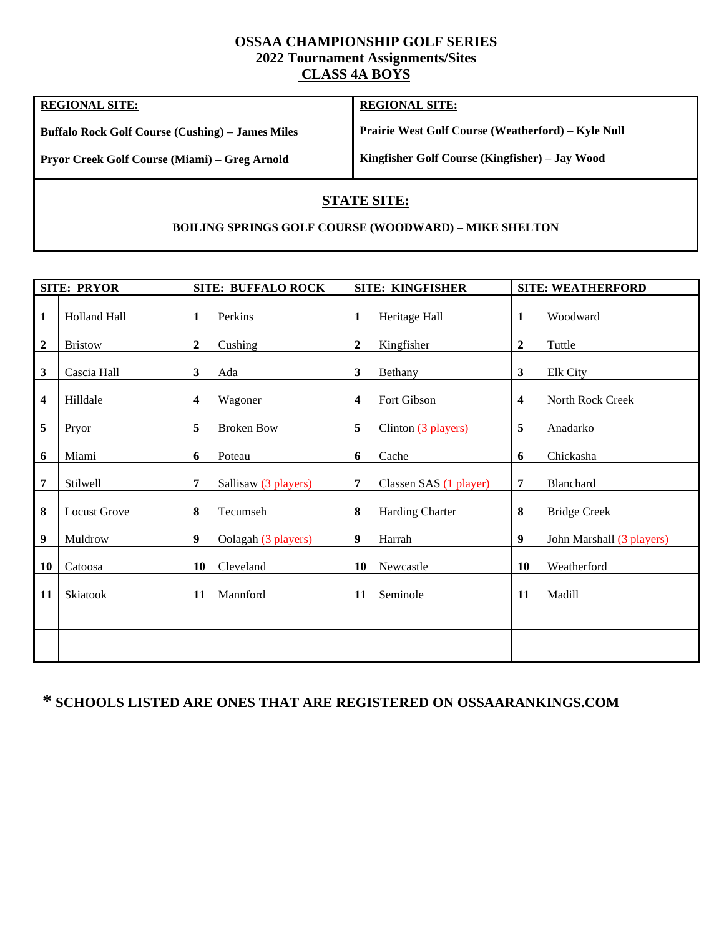## **OSSAA CHAMPIONSHIP GOLF SERIES 2022 Tournament Assignments/Sites CLASS 4A BOYS**

| <b>REGIONAL SITE:</b>                                   | <b>REGIONAL SITE:</b>                                     |
|---------------------------------------------------------|-----------------------------------------------------------|
| <b>Buffalo Rock Golf Course (Cushing) – James Miles</b> | <b>Prairie West Golf Course (Weatherford) – Kyle Null</b> |
| <b>Pryor Creek Golf Course (Miami) – Greg Arnold</b>    | Kingfisher Golf Course (Kingfisher) – Jay Wood            |

## **STATE SITE:**

### **BOILING SPRINGS GOLF COURSE (WOODWARD) – MIKE SHELTON**

| <b>SITE: PRYOR</b> |                     | <b>SITE: BUFFALO ROCK</b> |                      | <b>SITE: KINGFISHER</b> |                        |                         | <b>SITE: WEATHERFORD</b>  |  |
|--------------------|---------------------|---------------------------|----------------------|-------------------------|------------------------|-------------------------|---------------------------|--|
| 1                  | Holland Hall        | 1                         | Perkins              | $\mathbf{1}$            | Heritage Hall          | 1                       | Woodward                  |  |
| $\boldsymbol{2}$   | <b>Bristow</b>      | 2                         | Cushing              | $\mathbf{2}$            | Kingfisher             | $\overline{2}$          | Tuttle                    |  |
| 3                  | Cascia Hall         | 3                         | Ada                  | 3                       | Bethany                | $\mathbf{3}$            | Elk City                  |  |
| 4                  | Hilldale            | 4                         | Wagoner              | $\overline{\mathbf{4}}$ | Fort Gibson            | $\overline{\mathbf{4}}$ | North Rock Creek          |  |
| 5                  | Pryor               | 5                         | <b>Broken Bow</b>    | 5                       | Clinton (3 players)    | 5                       | Anadarko                  |  |
| 6                  | Miami               | 6                         | Poteau               | 6                       | Cache                  | 6                       | Chickasha                 |  |
| 7                  | Stilwell            | $\overline{7}$            | Sallisaw (3 players) | $\overline{7}$          | Classen SAS (1 player) | 7                       | Blanchard                 |  |
| 8                  | <b>Locust Grove</b> | 8                         | Tecumseh             | 8                       | <b>Harding Charter</b> | 8                       | <b>Bridge Creek</b>       |  |
| 9                  | Muldrow             | 9                         | Oolagah (3 players)  | 9                       | Harrah                 | 9                       | John Marshall (3 players) |  |
| 10                 | Catoosa             | 10                        | Cleveland            | 10                      | Newcastle              | 10                      | Weatherford               |  |
| 11                 | Skiatook            | 11                        | Mannford             | 11                      | Seminole               | 11                      | Madill                    |  |
|                    |                     |                           |                      |                         |                        |                         |                           |  |
|                    |                     |                           |                      |                         |                        |                         |                           |  |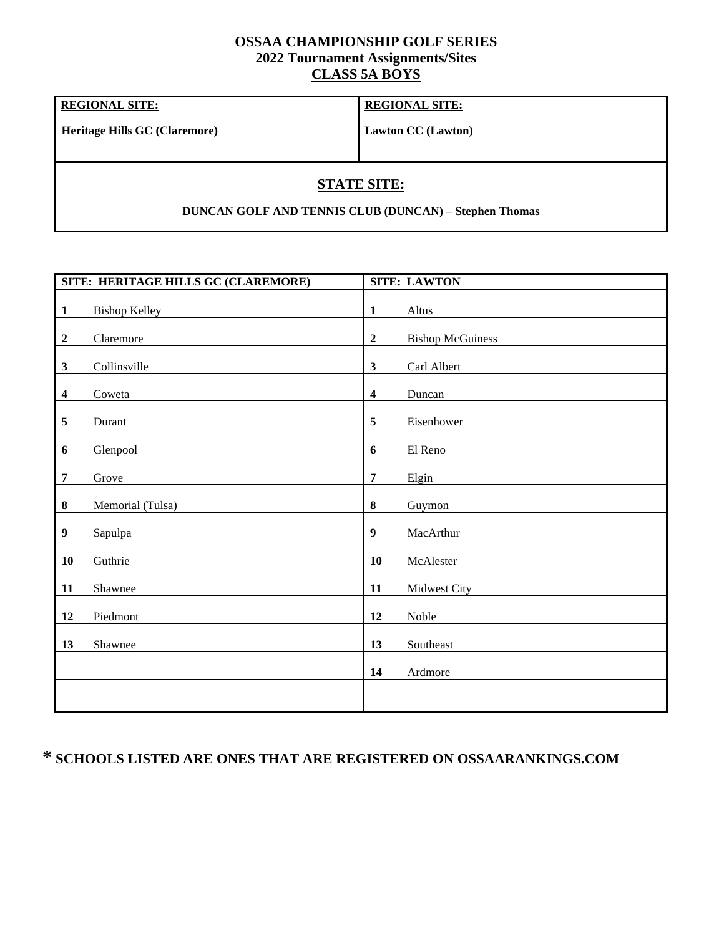### **OSSAA CHAMPIONSHIP GOLF SERIES 2022 Tournament Assignments/Sites CLASS 5A BOYS**

### **REGIONAL SITE:**

**Heritage Hills GC (Claremore)**

**REGIONAL SITE:**

**Lawton CC (Lawton)**

# **STATE SITE:**

**DUNCAN GOLF AND TENNIS CLUB (DUNCAN) – Stephen Thomas**

|                  | SITE: HERITAGE HILLS GC (CLAREMORE) |                         | <b>SITE: LAWTON</b>     |
|------------------|-------------------------------------|-------------------------|-------------------------|
| $\mathbf{1}$     | <b>Bishop Kelley</b>                | $\mathbf{1}$            | Altus                   |
| $\boldsymbol{2}$ | Claremore                           | $\overline{2}$          | <b>Bishop McGuiness</b> |
| $\mathbf{3}$     | Collinsville                        | $\mathbf{3}$            | Carl Albert             |
| $\boldsymbol{4}$ | Coweta                              | $\overline{\mathbf{4}}$ | Duncan                  |
| $\overline{5}$   | Durant                              | 5                       | Eisenhower              |
| 6                | Glenpool                            | 6                       | El Reno                 |
| $\overline{7}$   | Grove                               | $\overline{7}$          | Elgin                   |
| $\pmb{8}$        | Memorial (Tulsa)                    | 8                       | Guymon                  |
| $\boldsymbol{9}$ | Sapulpa                             | $\boldsymbol{9}$        | MacArthur               |
| 10               | Guthrie                             | 10                      | McAlester               |
| 11               | Shawnee                             | 11                      | Midwest City            |
| 12               | Piedmont                            | 12                      | Noble                   |
| 13               | Shawnee                             | 13                      | Southeast               |
|                  |                                     | 14                      | Ardmore                 |
|                  |                                     |                         |                         |